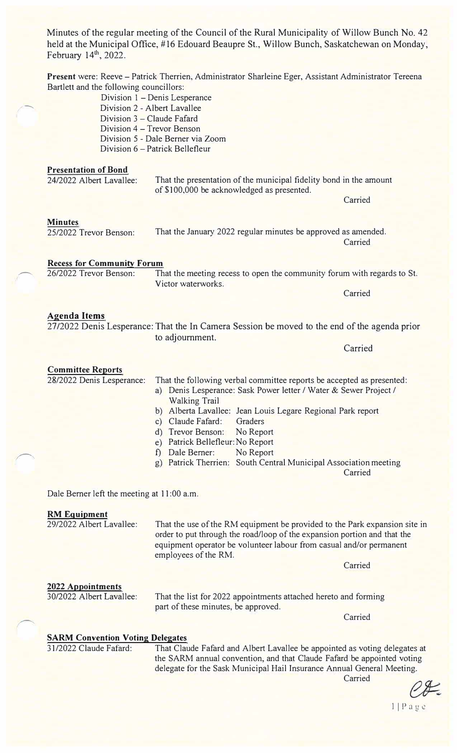Minutes of the regular meeting of the Council of the Rural Municipality of Willow Bunch No. 42 held at the Municipal Office, #16 Edouard Beaupre St., Willow Bunch, Saskatchewan on Monday, February 14th, 2022. **Present** were: Reeve - Patrick Therrien, Administrator Sharleine Eger, Assistant Administrator Tereena Bartlett and the following councillors: Division 1 – Denis Lesperance Division 2 - Albert Lavallee Division  $3$  – Claude Fafard Division 4 – Trevor Benson Division 5 - Dale Berner via Zoom Division 6 - Patrick Bellefleur **Presentation of Bond**  24/2022 Albert Lavallee: **Minutes**  That the presentation of the municipal fidelity bond in the amount of \$100,000 be acknowledged as presented. **Carried** 

25/2022 Trevor Benson:

That the January 2022 regular minutes be approved as amended. **Carried** 

**Recess for Community Forum** 

26/2022 Trevor Benson: That the meeting recess to open the community forum with regards to St. Victor waterworks.

**Carried** 

# **Agenda Items**

27/2022 Denis Lesperance: That the In Camera Session be moved to the end of the agenda prior to adjournment.

**Committee Reports**  28/2022 Denis Lesperance: That the following verbal committee reports be accepted as presented:

a) Denis Lesperance: Sask Power letter / Water & Sewer Project / Walking Trail

- b) Alberta Lavallee: Jean Louis Legare Regional Park report
- c) Claude Fafard: Graders
- d) Trevor Benson: No Report
- e) Patrick Bellefleur: No Report
- f) Dale Bemer: No Report
- g) Patrick Therrien: South Central Municipal Association meeting

**Carried** 

Carried

Dale Berner left the meeting at 11:00 a.m.

### **RM Equipment**

29/2022 Albert Lavallee: That the use of the RM equipment be provided to the Park expansion site in order to put through the road/loop of the expansion portion and that the equipment operator be volunteer labour from casual and/or permanent employees of the RM. **Carried** 

# **2022 Appointments**

30/2022 Albert Lavallee:

That the list for 2022 appointments attached hereto and forming part of these minutes, be approved.

**Carried** 

# **SARM Convention Voting Delegates**

31/2022 Claude Fafard: That Claude Fafard and Albert Lavallee be appointed as voting delegates at the SARM annual convention, and that Claude Fafard be appointed voting delegate for the Sask Municipal Hail Insurance Annual General Meeting.

**Carried** 

II Page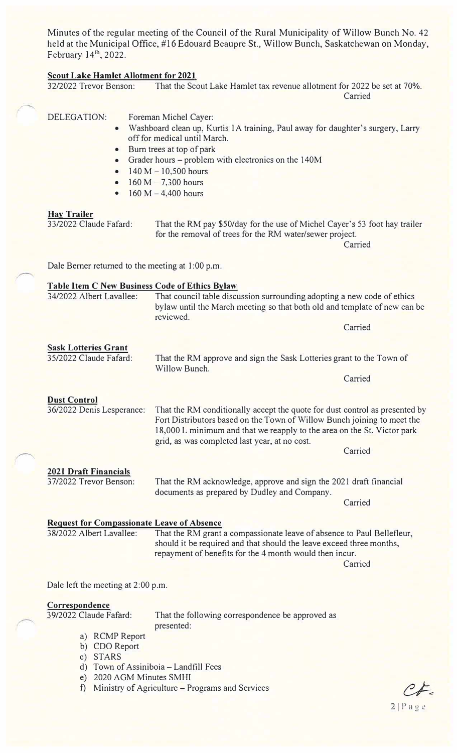Minutes of the regular meeting of the Council of the Rural Municipality of Willow Bunch No. 42 held at the Municipal Office, #16 Edouard Beaupre St., Willow Bunch, Saskatchewan on Monday, February 14th, 2022.

**<u>Scout Lake Hamlet Allotment for 2021</u>**<br>32/2022 Trevor Benson: That the Sco That the Scout Lake Hamlet tax revenue allotment for 2022 be set at 70%.

Carried

|                                                  |                                                                                                                                                                                                                                                        |                                                                                                                                                                                                                                                                                                          | Callicu |
|--------------------------------------------------|--------------------------------------------------------------------------------------------------------------------------------------------------------------------------------------------------------------------------------------------------------|----------------------------------------------------------------------------------------------------------------------------------------------------------------------------------------------------------------------------------------------------------------------------------------------------------|---------|
|                                                  | <b>DELEGATION:</b><br>$\bullet$<br>$\bullet$<br>$\bullet$<br>$\bullet$<br>$\bullet$<br>$\bullet$                                                                                                                                                       | Foreman Michel Cayer:<br>Washboard clean up, Kurtis 1A training, Paul away for daughter's surgery, Larry<br>off for medical until March.<br>Burn trees at top of park<br>Grader hours – problem with electronics on the 140M<br>$140 M - 10,500 hours$<br>$160 M - 7,300 hours$<br>$160 M - 4,400 hours$ |         |
|                                                  | <b>Hay Trailer</b><br>33/2022 Claude Fafard:                                                                                                                                                                                                           | That the RM pay \$50/day for the use of Michel Cayer's 53 foot hay trailer<br>for the removal of trees for the RM water/sewer project.                                                                                                                                                                   | Carried |
|                                                  | Dale Berner returned to the meeting at 1:00 p.m.                                                                                                                                                                                                       |                                                                                                                                                                                                                                                                                                          |         |
|                                                  | <b>Table Item C New Business Code of Ethics Bylaw</b><br>34/2022 Albert Lavallee:<br>That council table discussion surrounding adopting a new code of ethics<br>bylaw until the March meeting so that both old and template of new can be<br>reviewed. |                                                                                                                                                                                                                                                                                                          |         |
|                                                  |                                                                                                                                                                                                                                                        |                                                                                                                                                                                                                                                                                                          | Carried |
|                                                  | <b>Sask Lotteries Grant</b><br>35/2022 Claude Fafard:                                                                                                                                                                                                  | That the RM approve and sign the Sask Lotteries grant to the Town of<br>Willow Bunch.                                                                                                                                                                                                                    | Carried |
| <b>Dust Control</b><br>36/2022 Denis Lesperance: |                                                                                                                                                                                                                                                        | That the RM conditionally accept the quote for dust control as presented by<br>Fort Distributors based on the Town of Willow Bunch joining to meet the<br>18,000 L minimum and that we reapply to the area on the St. Victor park<br>grid, as was completed last year, at no cost.                       |         |
|                                                  |                                                                                                                                                                                                                                                        |                                                                                                                                                                                                                                                                                                          | Carried |
|                                                  | <b>2021 Draft Financials</b><br>37/2022 Trevor Benson:                                                                                                                                                                                                 | That the RM acknowledge, approve and sign the 2021 draft financial<br>documents as prepared by Dudley and Company.                                                                                                                                                                                       | Carried |
|                                                  | <b>Request for Compassionate Leave of Absence</b><br>38/2022 Albert Lavallee:                                                                                                                                                                          | That the RM grant a compassionate leave of absence to Paul Bellefleur,<br>should it be required and that should the leave exceed three months,<br>repayment of benefits for the 4 month would then incur.                                                                                                |         |
|                                                  |                                                                                                                                                                                                                                                        |                                                                                                                                                                                                                                                                                                          | Carried |
|                                                  | Dale left the meeting at 2:00 p.m.                                                                                                                                                                                                                     |                                                                                                                                                                                                                                                                                                          |         |
|                                                  | Correspondence                                                                                                                                                                                                                                         |                                                                                                                                                                                                                                                                                                          |         |
|                                                  | 39/2022 Claude Fafard:                                                                                                                                                                                                                                 | That the following correspondence be approved as<br>presented:                                                                                                                                                                                                                                           |         |
|                                                  | a) RCMP Report                                                                                                                                                                                                                                         |                                                                                                                                                                                                                                                                                                          |         |
|                                                  | <b>CDO</b> Report<br>b)<br><b>STARS</b><br>$\mathbf{c})$                                                                                                                                                                                               |                                                                                                                                                                                                                                                                                                          |         |
|                                                  | $\mathbf{d}$<br>2020 AGM Minutes SMHI<br>$\epsilon$ )                                                                                                                                                                                                  | Town of Assiniboia - Landfill Fees                                                                                                                                                                                                                                                                       |         |
|                                                  |                                                                                                                                                                                                                                                        |                                                                                                                                                                                                                                                                                                          |         |

f) Ministry of Agriculture - Programs and Services

 $C_{\mathcal{F}}$  $2|Pagec$